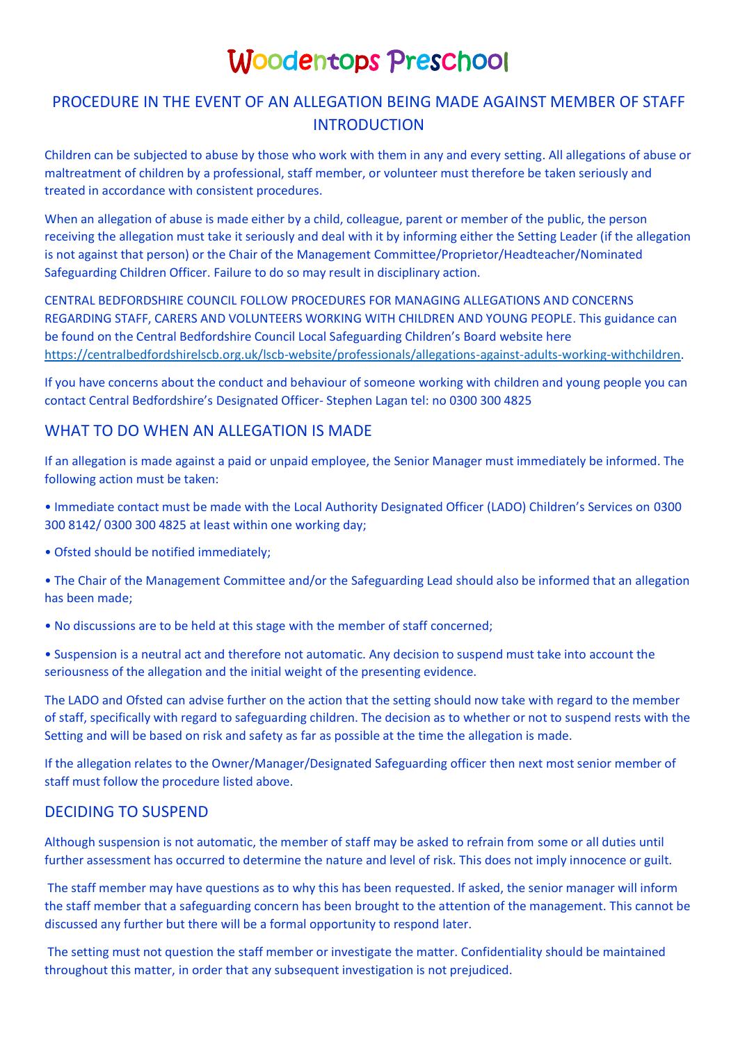# Woodentops Preschool

# PROCEDURE IN THE EVENT OF AN ALLEGATION BEING MADE AGAINST MEMBER OF STAFF INTRODUCTION

Children can be subjected to abuse by those who work with them in any and every setting. All allegations of abuse or maltreatment of children by a professional, staff member, or volunteer must therefore be taken seriously and treated in accordance with consistent procedures.

When an allegation of abuse is made either by a child, colleague, parent or member of the public, the person receiving the allegation must take it seriously and deal with it by informing either the Setting Leader (if the allegation is not against that person) or the Chair of the Management Committee/Proprietor/Headteacher/Nominated Safeguarding Children Officer. Failure to do so may result in disciplinary action.

CENTRAL BEDFORDSHIRE COUNCIL FOLLOW PROCEDURES FOR MANAGING ALLEGATIONS AND CONCERNS REGARDING STAFF, CARERS AND VOLUNTEERS WORKING WITH CHILDREN AND YOUNG PEOPLE. This guidance can be found on the Central Bedfordshire Council Local Safeguarding Children's Board website here [https://centralbedfordshirelscb.org.uk/lscb-website/professionals/allegations-against-adults-working-withchildren.](https://centralbedfordshirelscb.org.uk/lscb-website/professionals/allegations-against-adults-working-withchildren)

If you have concerns about the conduct and behaviour of someone working with children and young people you can contact Central Bedfordshire's Designated Officer- Stephen Lagan tel: no 0300 300 4825

#### WHAT TO DO WHEN AN ALLEGATION IS MADE

If an allegation is made against a paid or unpaid employee, the Senior Manager must immediately be informed. The following action must be taken:

- Immediate contact must be made with the Local Authority Designated Officer (LADO) Children's Services on 0300 300 8142/ 0300 300 4825 at least within one working day;
- Ofsted should be notified immediately;
- The Chair of the Management Committee and/or the Safeguarding Lead should also be informed that an allegation has been made;
- No discussions are to be held at this stage with the member of staff concerned;
- Suspension is a neutral act and therefore not automatic. Any decision to suspend must take into account the seriousness of the allegation and the initial weight of the presenting evidence.

The LADO and Ofsted can advise further on the action that the setting should now take with regard to the member of staff, specifically with regard to safeguarding children. The decision as to whether or not to suspend rests with the Setting and will be based on risk and safety as far as possible at the time the allegation is made.

If the allegation relates to the Owner/Manager/Designated Safeguarding officer then next most senior member of staff must follow the procedure listed above.

## DECIDING TO SUSPEND

Although suspension is not automatic, the member of staff may be asked to refrain from some or all duties until further assessment has occurred to determine the nature and level of risk. This does not imply innocence or guilt.

The staff member may have questions as to why this has been requested. If asked, the senior manager will inform the staff member that a safeguarding concern has been brought to the attention of the management. This cannot be discussed any further but there will be a formal opportunity to respond later.

The setting must not question the staff member or investigate the matter. Confidentiality should be maintained throughout this matter, in order that any subsequent investigation is not prejudiced.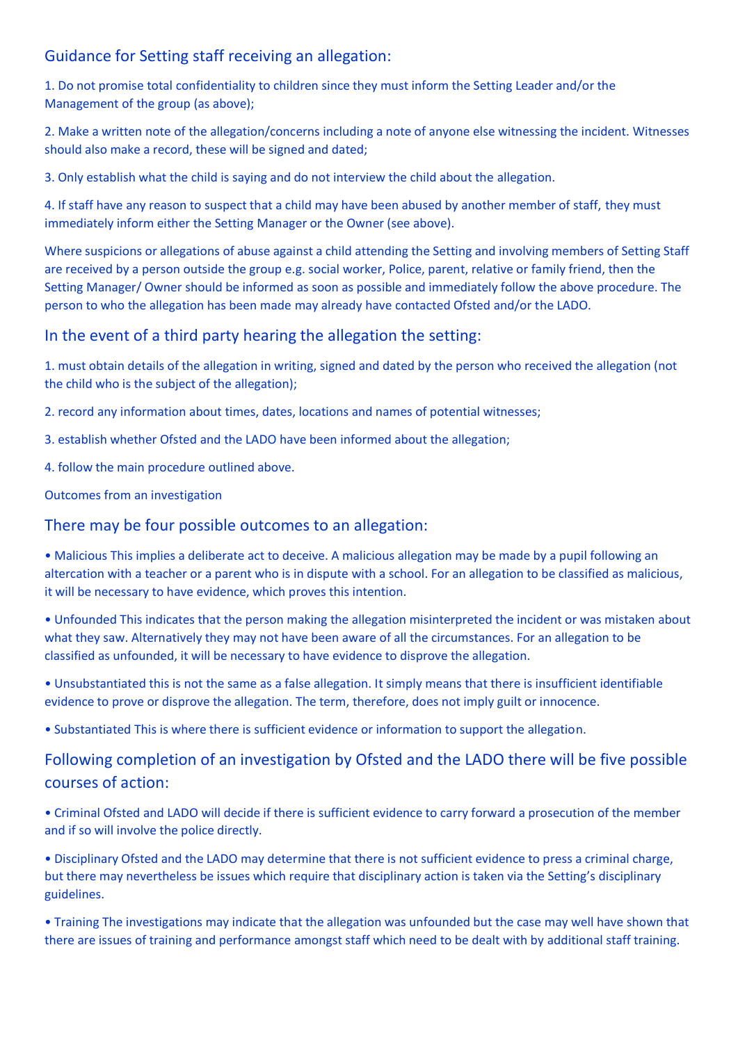## Guidance for Setting staff receiving an allegation:

1. Do not promise total confidentiality to children since they must inform the Setting Leader and/or the Management of the group (as above);

2. Make a written note of the allegation/concerns including a note of anyone else witnessing the incident. Witnesses should also make a record, these will be signed and dated;

3. Only establish what the child is saying and do not interview the child about the allegation.

4. If staff have any reason to suspect that a child may have been abused by another member of staff, they must immediately inform either the Setting Manager or the Owner (see above).

Where suspicions or allegations of abuse against a child attending the Setting and involving members of Setting Staff are received by a person outside the group e.g. social worker, Police, parent, relative or family friend, then the Setting Manager/ Owner should be informed as soon as possible and immediately follow the above procedure. The person to who the allegation has been made may already have contacted Ofsted and/or the LADO.

### In the event of a third party hearing the allegation the setting:

1. must obtain details of the allegation in writing, signed and dated by the person who received the allegation (not the child who is the subject of the allegation);

2. record any information about times, dates, locations and names of potential witnesses;

3. establish whether Ofsted and the LADO have been informed about the allegation;

4. follow the main procedure outlined above.

Outcomes from an investigation

## There may be four possible outcomes to an allegation:

• Malicious This implies a deliberate act to deceive. A malicious allegation may be made by a pupil following an altercation with a teacher or a parent who is in dispute with a school. For an allegation to be classified as malicious, it will be necessary to have evidence, which proves this intention.

• Unfounded This indicates that the person making the allegation misinterpreted the incident or was mistaken about what they saw. Alternatively they may not have been aware of all the circumstances. For an allegation to be classified as unfounded, it will be necessary to have evidence to disprove the allegation.

• Unsubstantiated this is not the same as a false allegation. It simply means that there is insufficient identifiable evidence to prove or disprove the allegation. The term, therefore, does not imply guilt or innocence.

• Substantiated This is where there is sufficient evidence or information to support the allegation.

# Following completion of an investigation by Ofsted and the LADO there will be five possible courses of action:

• Criminal Ofsted and LADO will decide if there is sufficient evidence to carry forward a prosecution of the member and if so will involve the police directly.

• Disciplinary Ofsted and the LADO may determine that there is not sufficient evidence to press a criminal charge, but there may nevertheless be issues which require that disciplinary action is taken via the Setting's disciplinary guidelines.

• Training The investigations may indicate that the allegation was unfounded but the case may well have shown that there are issues of training and performance amongst staff which need to be dealt with by additional staff training.